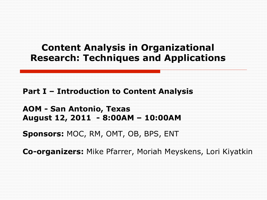## **Content Analysis in Organizational Research: Techniques and Applications**

**Part I – Introduction to Content Analysis** 

**AOM - San Antonio, Texas August 12, 2011 - 8:00AM – 10:00AM** 

**Sponsors:** MOC, RM, OMT, OB, BPS, ENT

**Co-organizers:** Mike Pfarrer, Moriah Meyskens, Lori Kiyatkin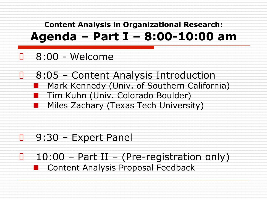**Content Analysis in Organizational Research: Agenda – Part I – 8:00-10:00 am** 

- o 8:00 Welcome
- o 8:05 Content Analysis Introduction **I** Mark Kennedy (Univ. of Southern California) Tim Kuhn (Univ. Colorado Boulder) Miles Zachary (Texas Tech University)

- o 9:30 Expert Panel
- $o$  10:00 Part II (Pre-registration only) ! Content Analysis Proposal Feedback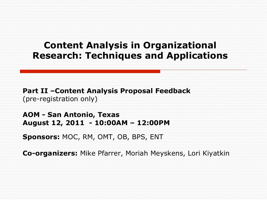### **Content Analysis in Organizational Research: Techniques and Applications**

**Part II –Content Analysis Proposal Feedback**  (pre-registration only)

**AOM - San Antonio, Texas August 12, 2011 - 10:00AM – 12:00PM** 

**Sponsors:** MOC, RM, OMT, OB, BPS, ENT

**Co-organizers:** Mike Pfarrer, Moriah Meyskens, Lori Kiyatkin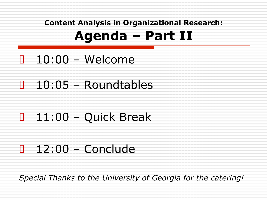## **Content Analysis in Organizational Research: Agenda – Part II**

- o 10:00 Welcome
- o 10:05 Roundtables
- o 11:00 Quick Break
- $o$  12:00 Conclude

*Special Thanks to the University of Georgia for the catering!*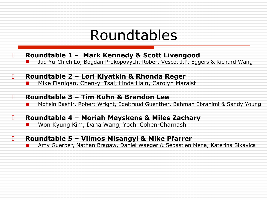# Roundtables

- o **Roundtable 1 Mark Kennedy & Scott Livengood** 
	- ! Jad Yu-Chieh Lo, Bogdan Prokopovych, Robert Vesco, J.P. Eggers & Richard Wang
- o **Roundtable 2 Lori Kiyatkin & Rhonda Reger** 
	- ! Mike Flanigan, Chen-yi Tsai, Linda Hain, Carolyn Maraist

#### o **Roundtable 3 – Tim Kuhn & Brandon Lee**

**E** Mohsin Bashir, Robert Wright, Edeltraud Guenther, Bahman Ebrahimi & Sandy Young

#### o **Roundtable 4 – Moriah Meyskens & Miles Zachary**

Won Kyung Kim, Dana Wang, Yochi Cohen-Charnash

#### o **Roundtable 5 – Vilmos Misangyi & Mike Pfarrer**

! Amy Guerber, Nathan Bragaw, Daniel Waeger & Sébastien Mena, Katerina Sikavica